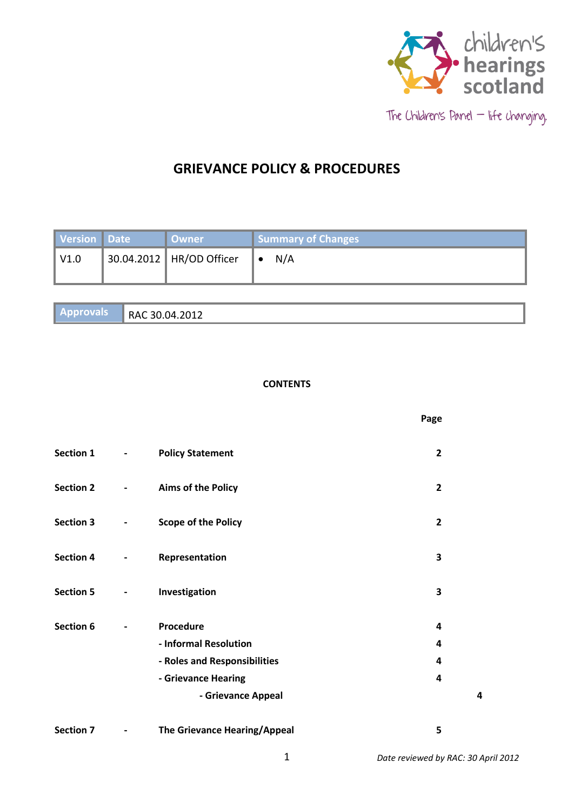

# **GRIEVANCE POLICY & PROCEDURES**

| Version Date | ∣ Owner                  | Summary of Changes |
|--------------|--------------------------|--------------------|
| $\vert$ V1.0 | 30.04.2012 HR/OD Officer | N/A<br>⊪∙          |

| $\mid$ Approvals | 1.2012<br>$\overline{\phantom{a}}$<br>RAC 30.0<br>'ІД<br>+.ZUIZ |
|------------------|-----------------------------------------------------------------|
|                  |                                                                 |

# **CONTENTS**

|                  |                          |                                    | Page           |
|------------------|--------------------------|------------------------------------|----------------|
| <b>Section 1</b> | $\blacksquare$           | <b>Policy Statement</b>            | $\overline{2}$ |
| <b>Section 2</b> | $\overline{\phantom{a}}$ | <b>Aims of the Policy</b>          | $\overline{2}$ |
| <b>Section 3</b> | $\blacksquare$           | <b>Scope of the Policy</b>         | $\overline{2}$ |
| <b>Section 4</b> | $\blacksquare$           | Representation                     | 3              |
| <b>Section 5</b> | $\blacksquare$           | Investigation                      | 3              |
| <b>Section 6</b> |                          | Procedure<br>- Informal Resolution | 4<br>4         |
|                  |                          | - Roles and Responsibilities       | 4              |
|                  |                          | - Grievance Hearing                | 4              |
|                  |                          | - Grievance Appeal                 | 4              |
| <b>Section 7</b> | $\overline{\phantom{a}}$ | The Grievance Hearing/Appeal       | 5              |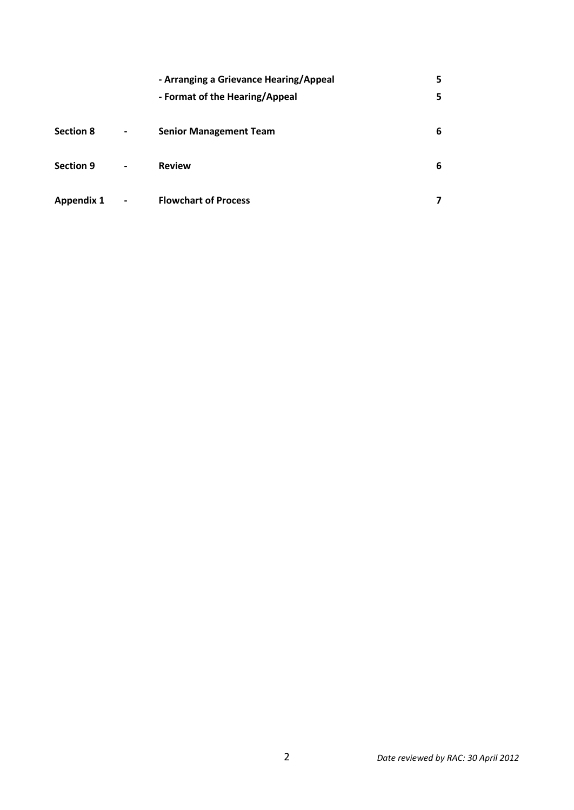|                   |                          | - Arranging a Grievance Hearing/Appeal<br>- Format of the Hearing/Appeal | 5<br>5 |
|-------------------|--------------------------|--------------------------------------------------------------------------|--------|
| <b>Section 8</b>  | $\blacksquare$           | <b>Senior Management Team</b>                                            | 6      |
| <b>Section 9</b>  | $\overline{\phantom{a}}$ | <b>Review</b>                                                            | 6      |
| <b>Appendix 1</b> | $\blacksquare$           | <b>Flowchart of Process</b>                                              |        |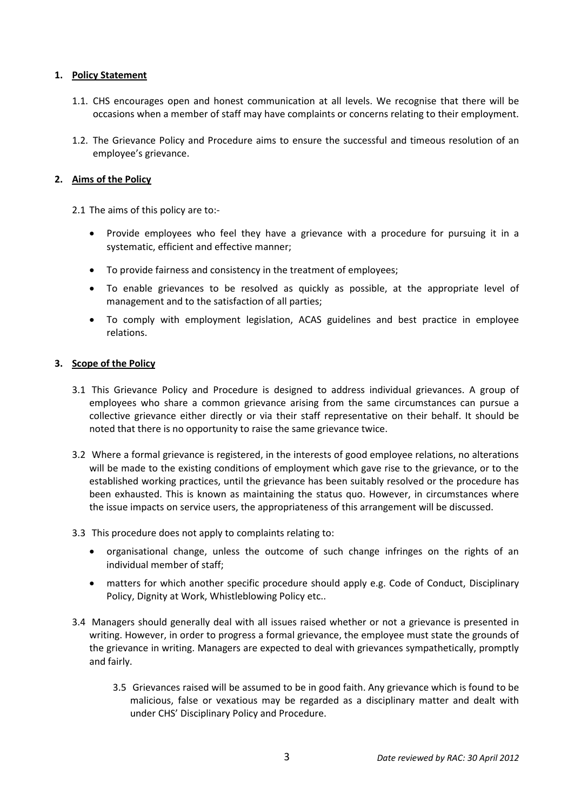# **1. Policy Statement**

- 1.1. CHS encourages open and honest communication at all levels. We recognise that there will be occasions when a member of staff may have complaints or concerns relating to their employment.
- 1.2. The Grievance Policy and Procedure aims to ensure the successful and timeous resolution of an employee's grievance.

# **2. Aims of the Policy**

2.1 The aims of this policy are to:-

- Provide employees who feel they have a grievance with a procedure for pursuing it in a systematic, efficient and effective manner;
- To provide fairness and consistency in the treatment of employees;
- To enable grievances to be resolved as quickly as possible, at the appropriate level of management and to the satisfaction of all parties;
- To comply with employment legislation, ACAS guidelines and best practice in employee relations.

#### **3. Scope of the Policy**

- 3.1 This Grievance Policy and Procedure is designed to address individual grievances. A group of employees who share a common grievance arising from the same circumstances can pursue a collective grievance either directly or via their staff representative on their behalf. It should be noted that there is no opportunity to raise the same grievance twice.
- 3.2 Where a formal grievance is registered, in the interests of good employee relations, no alterations will be made to the existing conditions of employment which gave rise to the grievance, or to the established working practices, until the grievance has been suitably resolved or the procedure has been exhausted. This is known as maintaining the status quo. However, in circumstances where the issue impacts on service users, the appropriateness of this arrangement will be discussed.
- 3.3 This procedure does not apply to complaints relating to:
	- organisational change, unless the outcome of such change infringes on the rights of an individual member of staff;
	- matters for which another specific procedure should apply e.g. Code of Conduct, Disciplinary Policy, Dignity at Work, Whistleblowing Policy etc..
- 3.4 Managers should generally deal with all issues raised whether or not a grievance is presented in writing. However, in order to progress a formal grievance, the employee must state the grounds of the grievance in writing. Managers are expected to deal with grievances sympathetically, promptly and fairly.
	- 3.5 Grievances raised will be assumed to be in good faith. Any grievance which is found to be malicious, false or vexatious may be regarded as a disciplinary matter and dealt with under CHS' Disciplinary Policy and Procedure.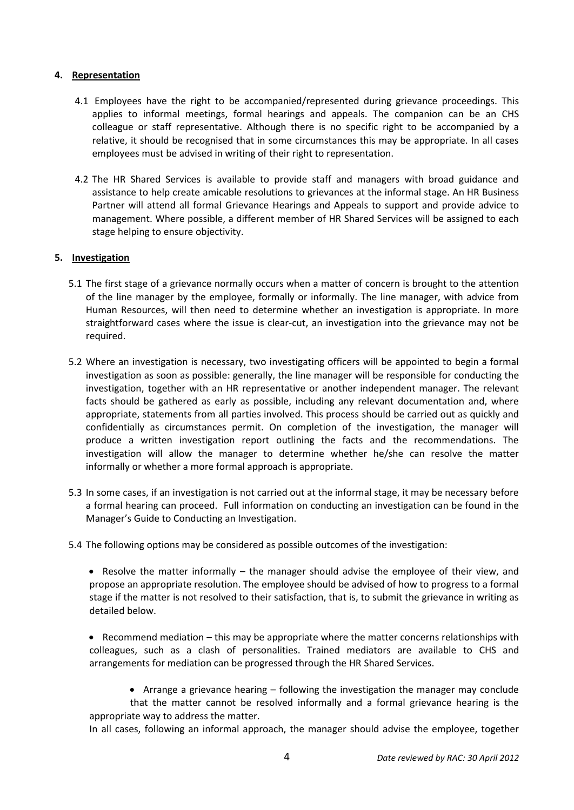# **4. Representation**

- 4.1 Employees have the right to be accompanied/represented during grievance proceedings. This applies to informal meetings, formal hearings and appeals. The companion can be an CHS colleague or staff representative. Although there is no specific right to be accompanied by a relative, it should be recognised that in some circumstances this may be appropriate. In all cases employees must be advised in writing of their right to representation.
- 4.2 The HR Shared Services is available to provide staff and managers with broad guidance and assistance to help create amicable resolutions to grievances at the informal stage. An HR Business Partner will attend all formal Grievance Hearings and Appeals to support and provide advice to management. Where possible, a different member of HR Shared Services will be assigned to each stage helping to ensure objectivity.

# **5. Investigation**

- 5.1 The first stage of a grievance normally occurs when a matter of concern is brought to the attention of the line manager by the employee, formally or informally. The line manager, with advice from Human Resources, will then need to determine whether an investigation is appropriate. In more straightforward cases where the issue is clear-cut, an investigation into the grievance may not be required.
- 5.2 Where an investigation is necessary, two investigating officers will be appointed to begin a formal investigation as soon as possible: generally, the line manager will be responsible for conducting the investigation, together with an HR representative or another independent manager. The relevant facts should be gathered as early as possible, including any relevant documentation and, where appropriate, statements from all parties involved. This process should be carried out as quickly and confidentially as circumstances permit. On completion of the investigation, the manager will produce a written investigation report outlining the facts and the recommendations. The investigation will allow the manager to determine whether he/she can resolve the matter informally or whether a more formal approach is appropriate.
- 5.3 In some cases, if an investigation is not carried out at the informal stage, it may be necessary before a formal hearing can proceed. Full information on conducting an investigation can be found in the Manager's Guide to Conducting an Investigation.
- 5.4 The following options may be considered as possible outcomes of the investigation:
	- Resolve the matter informally the manager should advise the employee of their view, and propose an appropriate resolution. The employee should be advised of how to progress to a formal stage if the matter is not resolved to their satisfaction, that is, to submit the grievance in writing as detailed below.
	- **•** Recommend mediation this may be appropriate where the matter concerns relationships with colleagues, such as a clash of personalities. Trained mediators are available to CHS and arrangements for mediation can be progressed through the HR Shared Services.
	- Arrange a grievance hearing following the investigation the manager may conclude that the matter cannot be resolved informally and a formal grievance hearing is the appropriate way to address the matter.

In all cases, following an informal approach, the manager should advise the employee, together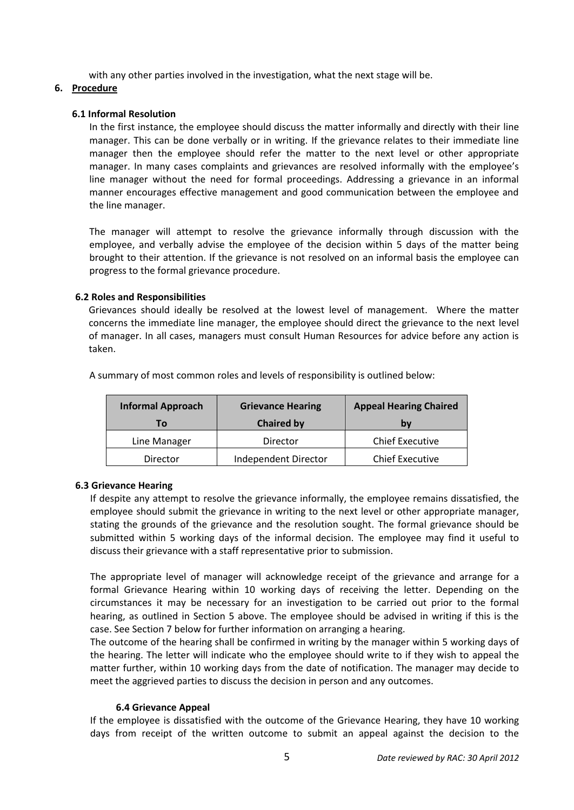with any other parties involved in the investigation, what the next stage will be.

# **6. Procedure**

# **6.1 Informal Resolution**

In the first instance, the employee should discuss the matter informally and directly with their line manager. This can be done verbally or in writing. If the grievance relates to their immediate line manager then the employee should refer the matter to the next level or other appropriate manager. In many cases complaints and grievances are resolved informally with the employee's line manager without the need for formal proceedings. Addressing a grievance in an informal manner encourages effective management and good communication between the employee and the line manager.

The manager will attempt to resolve the grievance informally through discussion with the employee, and verbally advise the employee of the decision within 5 days of the matter being brought to their attention. If the grievance is not resolved on an informal basis the employee can progress to the formal grievance procedure.

# **6.2 Roles and Responsibilities**

Grievances should ideally be resolved at the lowest level of management. Where the matter concerns the immediate line manager, the employee should direct the grievance to the next level of manager. In all cases, managers must consult Human Resources for advice before any action is taken.

|          | <b>Informal Approach</b> | <b>Grievance Hearing</b> | <b>Appeal Hearing Chaired</b><br>bv |  |
|----------|--------------------------|--------------------------|-------------------------------------|--|
|          | Τo                       | <b>Chaired by</b>        |                                     |  |
|          | Line Manager             | Director                 | <b>Chief Executive</b>              |  |
| Director |                          | Independent Director     | <b>Chief Executive</b>              |  |

A summary of most common roles and levels of responsibility is outlined below:

# **6.3 Grievance Hearing**

If despite any attempt to resolve the grievance informally, the employee remains dissatisfied, the employee should submit the grievance in writing to the next level or other appropriate manager, stating the grounds of the grievance and the resolution sought. The formal grievance should be submitted within 5 working days of the informal decision. The employee may find it useful to discuss their grievance with a staff representative prior to submission.

The appropriate level of manager will acknowledge receipt of the grievance and arrange for a formal Grievance Hearing within 10 working days of receiving the letter. Depending on the circumstances it may be necessary for an investigation to be carried out prior to the formal hearing, as outlined in Section 5 above. The employee should be advised in writing if this is the case. See Section 7 below for further information on arranging a hearing.

The outcome of the hearing shall be confirmed in writing by the manager within 5 working days of the hearing. The letter will indicate who the employee should write to if they wish to appeal the matter further, within 10 working days from the date of notification. The manager may decide to meet the aggrieved parties to discuss the decision in person and any outcomes.

# **6.4 Grievance Appeal**

If the employee is dissatisfied with the outcome of the Grievance Hearing, they have 10 working days from receipt of the written outcome to submit an appeal against the decision to the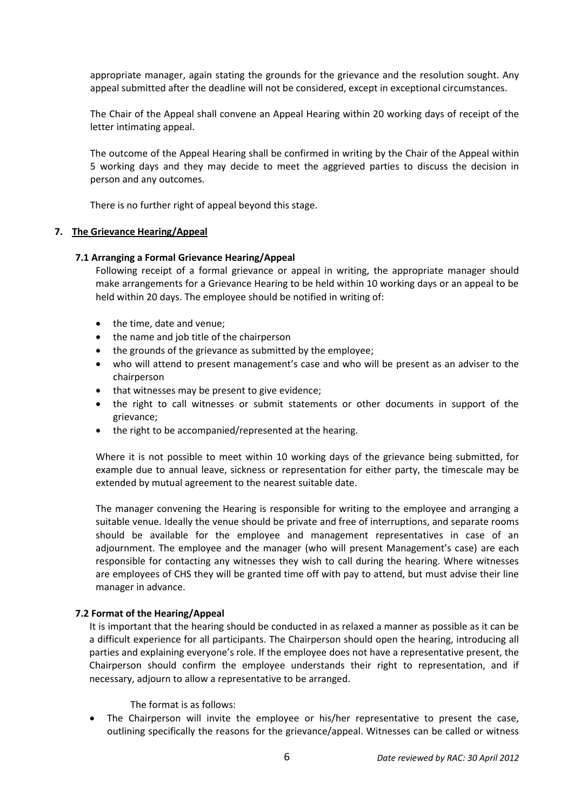appropriate manager, again stating the grounds for the grievance and the resolution sought. Any appeal submitted after the deadline will not be considered, except in exceptional circumstances.

The Chair of the Appeal shall convene an Appeal Hearing within 20 working days of receipt of the letter intimating appeal.

The outcome of the Appeal Hearing shall be confirmed in writing by the Chair of the Appeal within 5 working days and they may decide to meet the aggrieved parties to discuss the decision in person and any outcomes.

There is no further right of appeal beyond this stage.

#### **7. The Grievance Hearing/Appeal**

#### **7.1 Arranging a Formal Grievance Hearing/Appeal**

Following receipt of a formal grievance or appeal in writing, the appropriate manager should make arrangements for a Grievance Hearing to be held within 10 working days or an appeal to be held within 20 days. The employee should be notified in writing of:

- the time, date and venue;
- the name and job title of the chairperson
- the grounds of the grievance as submitted by the employee;
- who will attend to present management's case and who will be present as an adviser to the chairperson
- that witnesses may be present to give evidence;
- the right to call witnesses or submit statements or other documents in support of the grievance;
- the right to be accompanied/represented at the hearing.

Where it is not possible to meet within 10 working days of the grievance being submitted, for example due to annual leave, sickness or representation for either party, the timescale may be extended by mutual agreement to the nearest suitable date.

The manager convening the Hearing is responsible for writing to the employee and arranging a suitable venue. Ideally the venue should be private and free of interruptions, and separate rooms should be available for the employee and management representatives in case of an adjournment. The employee and the manager (who will present Management's case) are each responsible for contacting any witnesses they wish to call during the hearing. Where witnesses are employees of CHS they will be granted time off with pay to attend, but must advise their line manager in advance.

#### **7.2 Format of the Hearing/Appeal**

It is important that the hearing should be conducted in as relaxed a manner as possible as it can be a difficult experience for all participants. The Chairperson should open the hearing, introducing all parties and explaining everyone's role. If the employee does not have a representative present, the Chairperson should confirm the employee understands their right to representation, and if necessary, adjourn to allow a representative to be arranged.

The format is as follows:

 The Chairperson will invite the employee or his/her representative to present the case, outlining specifically the reasons for the grievance/appeal. Witnesses can be called or witness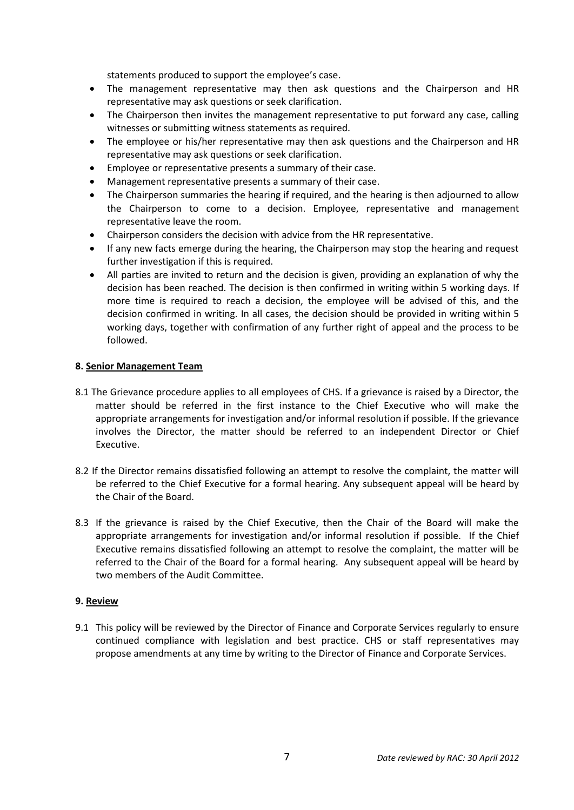statements produced to support the employee's case.

- The management representative may then ask questions and the Chairperson and HR representative may ask questions or seek clarification.
- The Chairperson then invites the management representative to put forward any case, calling witnesses or submitting witness statements as required.
- The employee or his/her representative may then ask questions and the Chairperson and HR representative may ask questions or seek clarification.
- Employee or representative presents a summary of their case.
- Management representative presents a summary of their case.
- The Chairperson summaries the hearing if required, and the hearing is then adjourned to allow the Chairperson to come to a decision. Employee, representative and management representative leave the room.
- Chairperson considers the decision with advice from the HR representative.
- If any new facts emerge during the hearing, the Chairperson may stop the hearing and request further investigation if this is required.
- All parties are invited to return and the decision is given, providing an explanation of why the decision has been reached. The decision is then confirmed in writing within 5 working days. If more time is required to reach a decision, the employee will be advised of this, and the decision confirmed in writing. In all cases, the decision should be provided in writing within 5 working days, together with confirmation of any further right of appeal and the process to be followed.

#### **8. Senior Management Team**

- 8.1 The Grievance procedure applies to all employees of CHS. If a grievance is raised by a Director, the matter should be referred in the first instance to the Chief Executive who will make the appropriate arrangements for investigation and/or informal resolution if possible. If the grievance involves the Director, the matter should be referred to an independent Director or Chief Executive.
- 8.2 If the Director remains dissatisfied following an attempt to resolve the complaint, the matter will be referred to the Chief Executive for a formal hearing. Any subsequent appeal will be heard by the Chair of the Board.
- 8.3 If the grievance is raised by the Chief Executive, then the Chair of the Board will make the appropriate arrangements for investigation and/or informal resolution if possible. If the Chief Executive remains dissatisfied following an attempt to resolve the complaint, the matter will be referred to the Chair of the Board for a formal hearing. Any subsequent appeal will be heard by two members of the Audit Committee.

# **9. Review**

9.1 This policy will be reviewed by the Director of Finance and Corporate Services regularly to ensure continued compliance with legislation and best practice. CHS or staff representatives may propose amendments at any time by writing to the Director of Finance and Corporate Services.